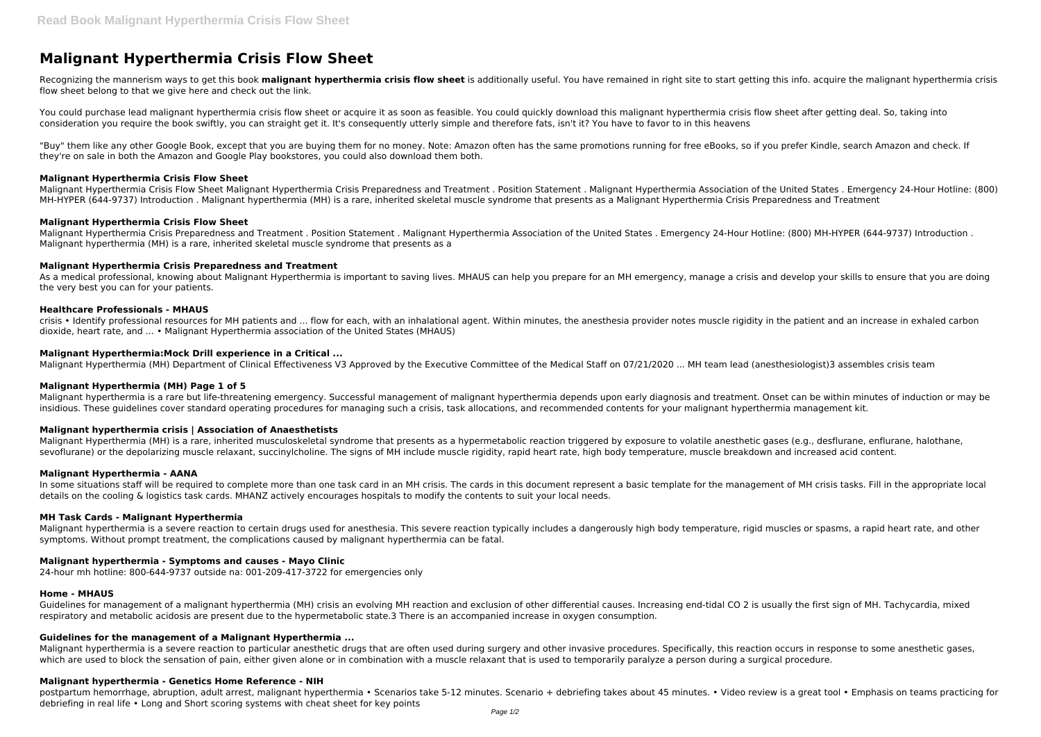# **Malignant Hyperthermia Crisis Flow Sheet**

Recognizing the mannerism ways to get this book **malignant hyperthermia crisis flow sheet** is additionally useful. You have remained in right site to start getting this info. acquire the malignant hyperthermia crisis flow sheet belong to that we give here and check out the link.

"Buy" them like any other Google Book, except that you are buying them for no money. Note: Amazon often has the same promotions running for free eBooks, so if you prefer Kindle, search Amazon and check. If they're on sale in both the Amazon and Google Play bookstores, you could also download them both.

You could purchase lead malignant hyperthermia crisis flow sheet or acquire it as soon as feasible. You could quickly download this malignant hyperthermia crisis flow sheet after getting deal. So, taking into consideration you require the book swiftly, you can straight get it. It's consequently utterly simple and therefore fats, isn't it? You have to favor to in this heavens

As a medical professional, knowing about Malignant Hyperthermia is important to saving lives. MHAUS can help you prepare for an MH emergency, manage a crisis and develop your skills to ensure that you are doing the very best you can for your patients.

#### **Malignant Hyperthermia Crisis Flow Sheet**

crisis • Identify professional resources for MH patients and ... flow for each, with an inhalational agent. Within minutes, the anesthesia provider notes muscle rigidity in the patient and an increase in exhaled carbon dioxide, heart rate, and ... • Malignant Hyperthermia association of the United States (MHAUS)

Malignant Hyperthermia Crisis Flow Sheet Malignant Hyperthermia Crisis Preparedness and Treatment . Position Statement . Malignant Hyperthermia Association of the United States . Emergency 24-Hour Hotline: (800) MH-HYPER (644-9737) Introduction . Malignant hyperthermia (MH) is a rare, inherited skeletal muscle syndrome that presents as a Malignant Hyperthermia Crisis Preparedness and Treatment

#### **Malignant Hyperthermia Crisis Flow Sheet**

Malignant Hyperthermia Crisis Preparedness and Treatment . Position Statement . Malignant Hyperthermia Association of the United States . Emergency 24-Hour Hotline: (800) MH-HYPER (644-9737) Introduction . Malignant hyperthermia (MH) is a rare, inherited skeletal muscle syndrome that presents as a

Malignant Hyperthermia (MH) is a rare, inherited musculoskeletal syndrome that presents as a hypermetabolic reaction triggered by exposure to volatile anesthetic gases (e.g., desflurane, enflurane, halothane, sevoflurane) or the depolarizing muscle relaxant, succinylcholine. The signs of MH include muscle rigidity, rapid heart rate, high body temperature, muscle breakdown and increased acid content.

#### **Malignant Hyperthermia Crisis Preparedness and Treatment**

In some situations staff will be required to complete more than one task card in an MH crisis. The cards in this document represent a basic template for the management of MH crisis tasks. Fill in the appropriate local details on the cooling & logistics task cards. MHANZ actively encourages hospitals to modify the contents to suit your local needs.

#### **Healthcare Professionals - MHAUS**

Guidelines for management of a malignant hyperthermia (MH) crisis an evolving MH reaction and exclusion of other differential causes. Increasing end-tidal CO 2 is usually the first sign of MH. Tachycardia, mixed respiratory and metabolic acidosis are present due to the hypermetabolic state.3 There is an accompanied increase in oxygen consumption.

#### **Malignant Hyperthermia:Mock Drill experience in a Critical ...**

Malignant Hyperthermia (MH) Department of Clinical Effectiveness V3 Approved by the Executive Committee of the Medical Staff on 07/21/2020 ... MH team lead (anesthesiologist)3 assembles crisis team

## **Malignant Hyperthermia (MH) Page 1 of 5**

postpartum hemorrhage, abruption, adult arrest, malignant hyperthermia • Scenarios take 5-12 minutes. Scenario + debriefing takes about 45 minutes. • Video review is a great tool • Emphasis on teams practicing for debriefing in real life • Long and Short scoring systems with cheat sheet for key points

Malignant hyperthermia is a rare but life-threatening emergency. Successful management of malignant hyperthermia depends upon early diagnosis and treatment. Onset can be within minutes of induction or may be insidious. These guidelines cover standard operating procedures for managing such a crisis, task allocations, and recommended contents for your malignant hyperthermia management kit.

## **Malignant hyperthermia crisis | Association of Anaesthetists**

## **Malignant Hyperthermia - AANA**

## **MH Task Cards - Malignant Hyperthermia**

Malignant hyperthermia is a severe reaction to certain drugs used for anesthesia. This severe reaction typically includes a dangerously high body temperature, rigid muscles or spasms, a rapid heart rate, and other symptoms. Without prompt treatment, the complications caused by malignant hyperthermia can be fatal.

# **Malignant hyperthermia - Symptoms and causes - Mayo Clinic**

24-hour mh hotline: 800-644-9737 outside na: 001-209-417-3722 for emergencies only

#### **Home - MHAUS**

## **Guidelines for the management of a Malignant Hyperthermia ...**

Malignant hyperthermia is a severe reaction to particular anesthetic drugs that are often used during surgery and other invasive procedures. Specifically, this reaction occurs in response to some anesthetic gases, which are used to block the sensation of pain, either given alone or in combination with a muscle relaxant that is used to temporarily paralyze a person during a surgical procedure.

## **Malignant hyperthermia - Genetics Home Reference - NIH**